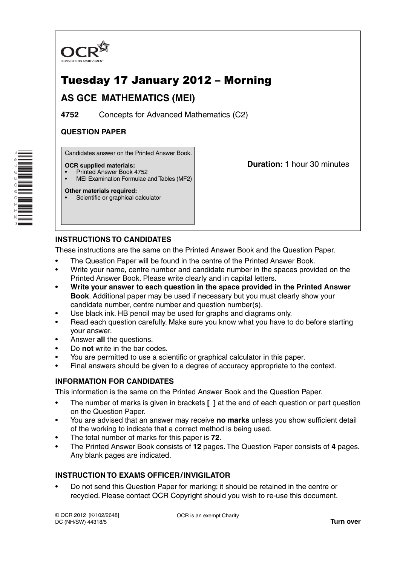

# Tuesday 17 January 2012 – Morning

# **AS GCE MATHEMATICS (MEI)**

**4752** Concepts for Advanced Mathematics (C2)

# **QUESTION PAPER**

Candidates answer on the Printed Answer Book.

#### **OCR supplied materials:**

\*4733080112\*

- Printed Answer Book 4752
- MEI Examination Formulae and Tables (MF2)

**Other materials required:** Scientific or graphical calculator **Duration:** 1 hour 30 minutes

## **INSTRUCTIONS TO CANDIDATES**

These instructions are the same on the Printed Answer Book and the Question Paper.

- The Question Paper will be found in the centre of the Printed Answer Book.
- Write your name, centre number and candidate number in the spaces provided on the Printed Answer Book. Please write clearly and in capital letters.
- **Write your answer to each question in the space provided in the Printed Answer Book**. Additional paper may be used if necessary but you must clearly show your candidate number, centre number and question number(s).
- Use black ink. HB pencil may be used for graphs and diagrams only.
- Read each question carefully. Make sure you know what you have to do before starting your answer.
- Answer **all** the questions.
- Do **not** write in the bar codes.
- You are permitted to use a scientific or graphical calculator in this paper.
- Final answers should be given to a degree of accuracy appropriate to the context.

## **INFORMATION FOR CANDIDATES**

This information is the same on the Printed Answer Book and the Question Paper.

- The number of marks is given in brackets **[ ]** at the end of each question or part question on the Question Paper.
- You are advised that an answer may receive **no marks** unless you show sufficient detail of the working to indicate that a correct method is being used.
- The total number of marks for this paper is **72**.
- The Printed Answer Book consists of **12** pages. The Question Paper consists of **4** pages. Any blank pages are indicated.

## **INSTRUCTION TO EXAMS OFFICER / INVIGILATOR**

• Do not send this Question Paper for marking; it should be retained in the centre or recycled. Please contact OCR Copyright should you wish to re-use this document.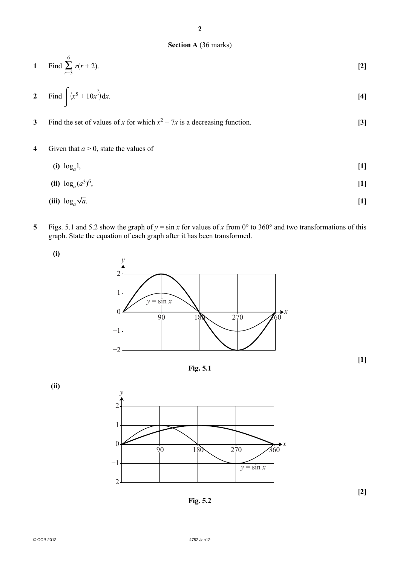#### **Section A** (36 marks)

1 Find 
$$
\sum_{r=3}^{6} r(r+2)
$$
. [2]

2 Find 
$$
\int (x^5 + 10x^{\frac{3}{2}}) dx
$$
. [4]

**3** Find the set of values of *x* for which  $x^2 - 7x$  is a decreasing function. **[3]** 

**4** Given that  $a > 0$ , state the values of

(i)  $\log_a 1$ , [1]

(ii) 
$$
\log_a (a^3)^6
$$
, [1]

$$
(iii) \log_a \sqrt{a}.
$$

**5** Figs. 5.1 and 5.2 show the graph of  $y = \sin x$  for values of *x* from 0° to 360° and two transformations of this graph. State the equation of each graph after it has been transformed.





**Fig. 5.1**

**[1]**

 **(ii)**



**Fig. 5.2**

© OCR 2012 4752 Jan12

**[2]**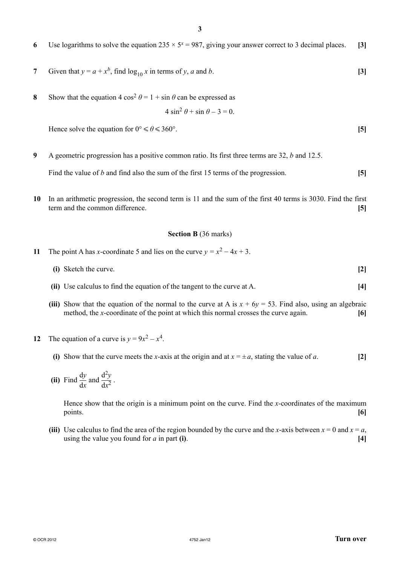- **6** Use logarithms to solve the equation  $235 \times 5^x = 987$ , giving your answer correct to 3 decimal places. **[3]**
- **7** Given that  $y = a + x^b$ , find  $\log_{10} x$  in terms of *y*, *a* and *b*. **[3]**
- **8** Show that the equation 4 cos<sup>2</sup>  $\theta$  = 1 + sin  $\theta$  can be expressed as

$$
4\sin^2\theta + \sin\theta - 3 = 0.
$$

Hence solve the equation for  $0^{\circ} \le \theta \le 360^{\circ}$ . [5]

**9** A geometric progression has a positive common ratio. Its first three terms are 32, *b* and 12.5.

Find the value of *b* and find also the sum of the first 15 terms of the progression. **[5]**

**10** In an arithmetic progression, the second term is 11 and the sum of the first 40 terms is 3030. Find the first term and the common difference. **[5]**

#### **Section B** (36 marks)

- **11** The point A has *x*-coordinate 5 and lies on the curve  $y = x^2 4x + 3$ .
	- **(i)** Sketch the curve. **[2]**
	- **(ii)** Use calculus to find the equation of the tangent to the curve at A. **[4]**
	- **(iii)** Show that the equation of the normal to the curve at A is  $x + 6y = 53$ . Find also, using an algebraic method, the *x*-coordinate of the point at which this normal crosses the curve again. **[6]**
- **12** The equation of a curve is  $v = 9x^2 x^4$ .
	- **(i)** Show that the curve meets the *x*-axis at the origin and at  $x = \pm a$ , stating the value of *a*. [2]
- **(ii)** Find  $\frac{dy}{dx}$  and  $\frac{d^2y}{dx^2}$ .

Hence show that the origin is a minimum point on the curve. Find the *x*-coordinates of the maximum points. **[6]**

**(iii)** Use calculus to find the area of the region bounded by the curve and the *x*-axis between  $x = 0$  and  $x = a$ , using the value you found for  $a$  in part **(i)**.